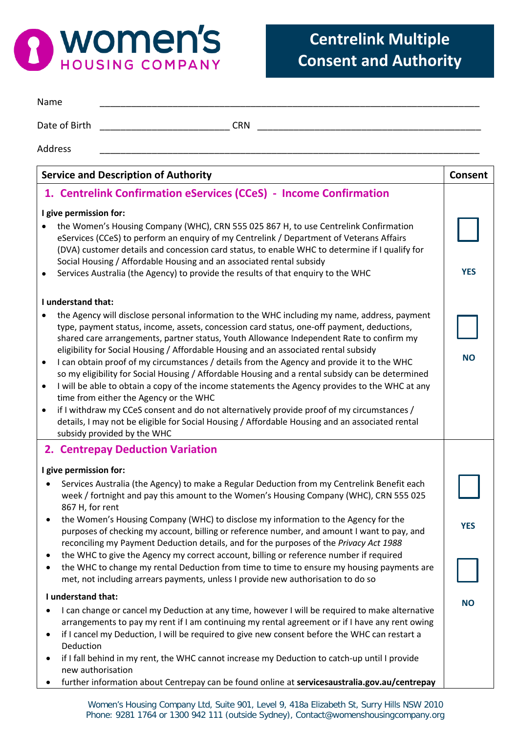

| Name                   |                                                                                                                                                                                                                                                                                                                                                            |                |  |
|------------------------|------------------------------------------------------------------------------------------------------------------------------------------------------------------------------------------------------------------------------------------------------------------------------------------------------------------------------------------------------------|----------------|--|
|                        | Date of Birth<br><b>CRN</b>                                                                                                                                                                                                                                                                                                                                |                |  |
| <b>Address</b>         |                                                                                                                                                                                                                                                                                                                                                            |                |  |
|                        | <b>Service and Description of Authority</b>                                                                                                                                                                                                                                                                                                                | <b>Consent</b> |  |
|                        | 1. Centrelink Confirmation eServices (CCeS) - Income Confirmation                                                                                                                                                                                                                                                                                          |                |  |
| I give permission for: |                                                                                                                                                                                                                                                                                                                                                            |                |  |
|                        | the Women's Housing Company (WHC), CRN 555 025 867 H, to use Centrelink Confirmation<br>eServices (CCeS) to perform an enquiry of my Centrelink / Department of Veterans Affairs<br>(DVA) customer details and concession card status, to enable WHC to determine if I qualify for<br>Social Housing / Affordable Housing and an associated rental subsidy |                |  |
| $\bullet$              | Services Australia (the Agency) to provide the results of that enquiry to the WHC                                                                                                                                                                                                                                                                          | <b>YES</b>     |  |
|                        | I understand that:                                                                                                                                                                                                                                                                                                                                         |                |  |
|                        | the Agency will disclose personal information to the WHC including my name, address, payment                                                                                                                                                                                                                                                               |                |  |
|                        | type, payment status, income, assets, concession card status, one-off payment, deductions,                                                                                                                                                                                                                                                                 |                |  |
|                        | shared care arrangements, partner status, Youth Allowance Independent Rate to confirm my<br>eligibility for Social Housing / Affordable Housing and an associated rental subsidy                                                                                                                                                                           |                |  |
| $\bullet$              | I can obtain proof of my circumstances / details from the Agency and provide it to the WHC                                                                                                                                                                                                                                                                 | <b>NO</b>      |  |
| $\bullet$              | so my eligibility for Social Housing / Affordable Housing and a rental subsidy can be determined<br>I will be able to obtain a copy of the income statements the Agency provides to the WHC at any                                                                                                                                                         |                |  |
|                        | time from either the Agency or the WHC                                                                                                                                                                                                                                                                                                                     |                |  |
| $\bullet$              | if I withdraw my CCeS consent and do not alternatively provide proof of my circumstances /                                                                                                                                                                                                                                                                 |                |  |
|                        | details, I may not be eligible for Social Housing / Affordable Housing and an associated rental<br>subsidy provided by the WHC                                                                                                                                                                                                                             |                |  |
|                        | 2. Centrepay Deduction Variation                                                                                                                                                                                                                                                                                                                           |                |  |
| I give permission for: |                                                                                                                                                                                                                                                                                                                                                            |                |  |
|                        | Services Australia (the Agency) to make a Regular Deduction from my Centrelink Benefit each<br>week / fortnight and pay this amount to the Women's Housing Company (WHC), CRN 555 025<br>867 H, for rent                                                                                                                                                   |                |  |
| $\bullet$              | the Women's Housing Company (WHC) to disclose my information to the Agency for the<br>purposes of checking my account, billing or reference number, and amount I want to pay, and<br>reconciling my Payment Deduction details, and for the purposes of the Privacy Act 1988                                                                                | <b>YES</b>     |  |
| ٠                      | the WHC to give the Agency my correct account, billing or reference number if required                                                                                                                                                                                                                                                                     |                |  |
| $\bullet$              | the WHC to change my rental Deduction from time to time to ensure my housing payments are<br>met, not including arrears payments, unless I provide new authorisation to do so                                                                                                                                                                              |                |  |
| I understand that:     |                                                                                                                                                                                                                                                                                                                                                            |                |  |
| $\bullet$              | I can change or cancel my Deduction at any time, however I will be required to make alternative<br>arrangements to pay my rent if I am continuing my rental agreement or if I have any rent owing<br>if I cancel my Deduction, I will be required to give new consent before the WHC can restart a                                                         | <b>NO</b>      |  |
|                        | Deduction                                                                                                                                                                                                                                                                                                                                                  |                |  |
| ٠                      | if I fall behind in my rent, the WHC cannot increase my Deduction to catch-up until I provide<br>new authorisation                                                                                                                                                                                                                                         |                |  |
|                        | further information about Centrepay can be found online at servicesaustralia.gov.au/centrepay                                                                                                                                                                                                                                                              |                |  |

Women's Housing Company Ltd, Suite 901, Level 9, 418a Elizabeth St, Surry Hills NSW 2010 Phone: 9281 1764 or 1300 942 111 (outside Sydney), Contact@womenshousingcompany.org